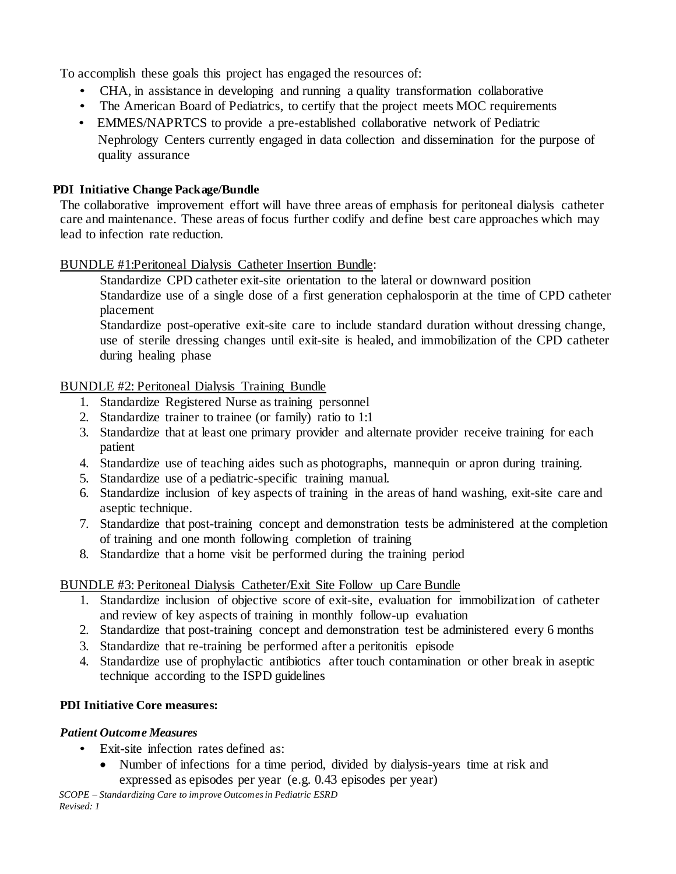To accomplish these goals this project has engaged the resources of:

- CHA, in assistance in developing and running a quality transformation collaborative
- The American Board of Pediatrics, to certify that the project meets MOC requirements
- EMMES/NAPRTCS to provide a pre-established collaborative network of Pediatric Nephrology Centers currently engaged in data collection and dissemination for the purpose of quality assurance

### **PDI Initiative Change Package/Bundle**

The collaborative improvement effort will have three areas of emphasis for peritoneal dialysis catheter care and maintenance. These areas of focus further codify and define best care approaches which may lead to infection rate reduction.

## BUNDLE #1:Peritoneal Dialysis Catheter Insertion Bundle:

- 1. Standardize CPD catheter exit-site orientation to the lateral or downward position
- 2. Standardize use of a single dose of a first generation cephalosporin at the time of CPD catheter placement
- 3. Standardize post-operative exit-site care to include standard duration without dressing change, use of sterile dressing changes until exit-site is healed, and immobilization of the CPD catheter during healing phase

### BUNDLE #2: Peritoneal Dialysis Training Bundle

- 1. Standardize Registered Nurse as training personnel
- 2. Standardize trainer to trainee (or family) ratio to 1:1
- 3. Standardize that at least one primary provider and alternate provider receive training for each patient
- 4. Standardize use of teaching aides such as photographs, mannequin or apron during training.
- 5. Standardize use of a pediatric-specific training manual.
- 6. Standardize inclusion of key aspects of training in the areas of hand washing, exit-site care and aseptic technique.
- 7. Standardize that post-training concept and demonstration tests be administered at the completion of training and one month following completion of training
- 8. Standardize that a home visit be performed during the training period

## BUNDLE #3: Peritoneal Dialysis Catheter/Exit Site Follow up Care Bundle

- 1. Standardize inclusion of objective score of exit-site, evaluation for immobilization of catheter and review of key aspects of training in monthly follow-up evaluation
- 2. Standardize that post-training concept and demonstration test be administered every 6 months
- 3. Standardize that re-training be performed after a peritonitis episode
- 4. Standardize use of prophylactic antibiotics after touch contamination or other break in aseptic technique according to the ISPD guidelines

## **PDI Initiative Core measures:**

## *Patient Outcome Measures*

- Exit-site infection rates defined as:
	- Number of infections for a time period, divided by dialysis-years time at risk and expressed as episodes per year (e.g. 0.43 episodes per year)

*SCOPE – Standardizing Care to improve Outcomes in Pediatric ESRD Revised: 1*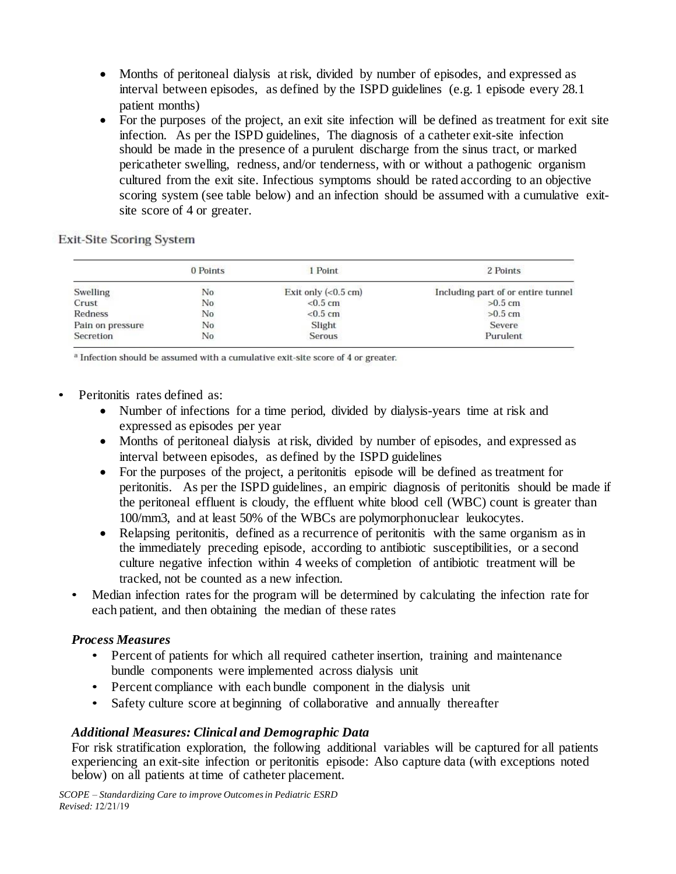- Months of peritoneal dialysis at risk, divided by number of episodes, and expressed as interval between episodes, as defined by the ISPD guidelines (e.g. 1 episode every 28.1 patient months)
- For the purposes of the project, an exit site infection will be defined as treatment for exit site infection. As per the ISPD guidelines, The diagnosis of a catheter exit-site infection should be made in the presence of a purulent discharge from the sinus tract, or marked pericatheter swelling, redness, and/or tenderness, with or without a pathogenic organism cultured from the exit site. Infectious symptoms should be rated according to an objective scoring system (see table below) and an infection should be assumed with a cumulative exitsite score of 4 or greater.

**Exit-Site Scoring System** 

|                  | 0 Points | 1 Point                      | 2 Points                           |
|------------------|----------|------------------------------|------------------------------------|
| Swelling         | No       | Exit only $(0.5 \text{ cm})$ | Including part of or entire tunnel |
| Crust            | No       | $< 0.5$ cm                   | $>0.5$ cm                          |
| Redness          | No       | $< 0.5$ cm                   | $>0.5$ cm                          |
| Pain on pressure | No       | Slight                       | Severe                             |
| Secretion        | No       | Serous                       | Purulent                           |

<sup>a</sup> Infection should be assumed with a cumulative exit-site score of 4 or greater.

- Peritonitis rates defined as:
	- Number of infections for a time period, divided by dialysis-years time at risk and expressed as episodes per year
	- Months of peritoneal dialysis at risk, divided by number of episodes, and expressed as interval between episodes, as defined by the ISPD guidelines
	- For the purposes of the project, a peritonitis episode will be defined as treatment for peritonitis. As per the ISPD guidelines, an empiric diagnosis of peritonitis should be made if the peritoneal effluent is cloudy, the effluent white blood cell (WBC) count is greater than 100/mm3, and at least 50% of the WBCs are polymorphonuclear leukocytes.
	- Relapsing peritonitis, defined as a recurrence of peritonitis with the same organism as in the immediately preceding episode, according to antibiotic susceptibilities, or a second culture negative infection within 4 weeks of completion of antibiotic treatment will be tracked, not be counted as a new infection.
	- Median infection rates for the program will be determined by calculating the infection rate for each patient, and then obtaining the median of these rates

## *Process Measures*

- Percent of patients for which all required catheter insertion, training and maintenance bundle components were implemented across dialysis unit
- Percent compliance with each bundle component in the dialysis unit
- Safety culture score at beginning of collaborative and annually thereafter

## *Additional Measures: Clinical and Demographic Data*

For risk stratification exploration, the following additional variables will be captured for all patients experiencing an exit-site infection or peritonitis episode: Also capture data (with exceptions noted below) on all patients at time of catheter placement.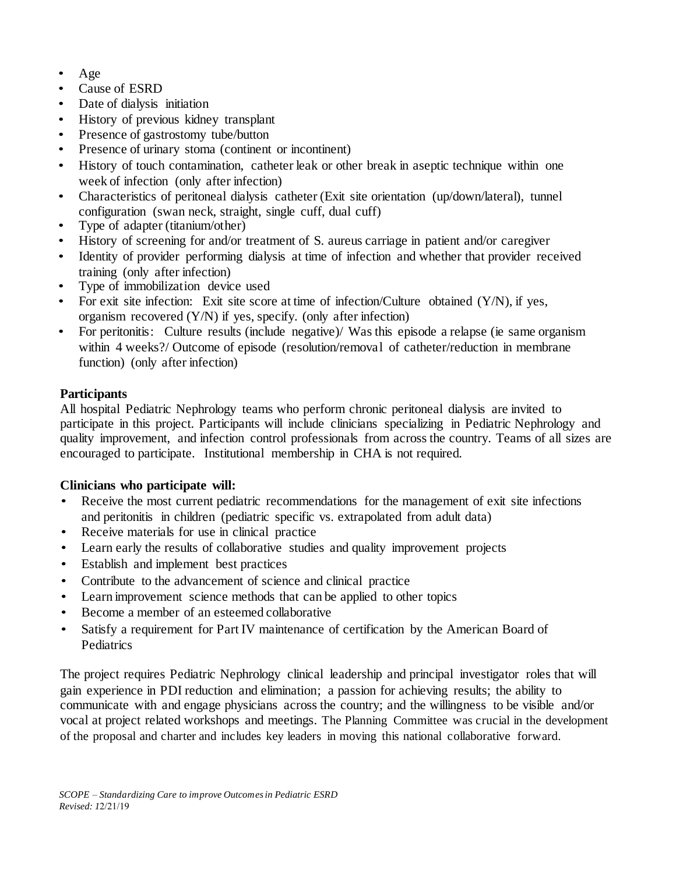- Age
- Cause of ESRD
- Date of dialysis initiation
- History of previous kidney transplant
- Presence of gastrostomy tube/button
- Presence of urinary stoma (continent or incontinent)
- History of touch contamination, catheter leak or other break in aseptic technique within one week of infection (only after infection)
- Characteristics of peritoneal dialysis catheter (Exit site orientation (up/down/lateral), tunnel configuration (swan neck, straight, single cuff, dual cuff)
- Type of adapter (titanium/other)
- History of screening for and/or treatment of S. aureus carriage in patient and/or caregiver
- Identity of provider performing dialysis at time of infection and whether that provider received training (only after infection)
- Type of immobilization device used
- For exit site infection: Exit site score at time of infection/Culture obtained (Y/N), if yes, organism recovered (Y/N) if yes, specify. (only after infection)
- For peritonitis: Culture results (include negative)/ Was this episode a relapse (ie same organism within 4 weeks?/ Outcome of episode (resolution/removal of catheter/reduction in membrane function) (only after infection)

# **Participants**

All hospital Pediatric Nephrology teams who perform chronic peritoneal dialysis are invited to participate in this project. Participants will include clinicians specializing in Pediatric Nephrology and quality improvement, and infection control professionals from across the country. Teams of all sizes are encouraged to participate. Institutional membership in CHA is not required.

## **Clinicians who participate will:**

- Receive the most current pediatric recommendations for the management of exit site infections and peritonitis in children (pediatric specific vs. extrapolated from adult data)
- Receive materials for use in clinical practice
- Learn early the results of collaborative studies and quality improvement projects
- Establish and implement best practices
- Contribute to the advancement of science and clinical practice
- Learn improvement science methods that can be applied to other topics
- Become a member of an esteemed collaborative
- Satisfy a requirement for Part IV maintenance of certification by the American Board of Pediatrics

The project requires Pediatric Nephrology clinical leadership and principal investigator roles that will gain experience in PDI reduction and elimination; a passion for achieving results; the ability to communicate with and engage physicians across the country; and the willingness to be visible and/or vocal at project related workshops and meetings. The Planning Committee was crucial in the development of the proposal and charter and includes key leaders in moving this national collaborative forward.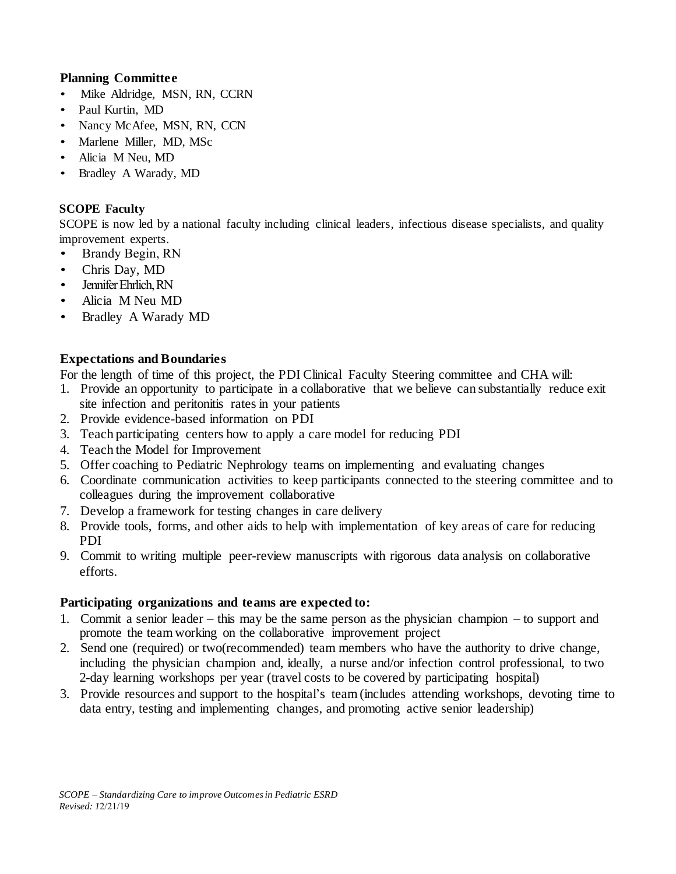### **Planning Committee**

- Mike Aldridge, MSN, RN, CCRN
- Paul Kurtin, MD
- Nancy McAfee, MSN, RN, CCN
- Marlene Miller, MD, MSc
- Alicia M Neu, MD
- Bradley A Warady, MD

### **SCOPE Faculty**

SCOPE is now led by a national faculty including clinical leaders, infectious disease specialists, and quality improvement experts.

- Brandy Begin, RN
- Chris Day, MD
- Jennifer Ehrlich, RN
- Alicia M Neu MD
- Bradley A Warady MD

# **Expectations and Boundaries**

For the length of time of this project, the PDI Clinical Faculty Steering committee and CHA will:

- 1. Provide an opportunity to participate in a collaborative that we believe can substantially reduce exit site infection and peritonitis rates in your patients
- 2. Provide evidence-based information on PDI
- 3. Teach participating centers how to apply a care model for reducing PDI
- 4. Teach the Model for Improvement
- 5. Offer coaching to Pediatric Nephrology teams on implementing and evaluating changes
- 6. Coordinate communication activities to keep participants connected to the steering committee and to colleagues during the improvement collaborative
- 7. Develop a framework for testing changes in care delivery
- 8. Provide tools, forms, and other aids to help with implementation of key areas of care for reducing PDI
- 9. Commit to writing multiple peer-review manuscripts with rigorous data analysis on collaborative efforts.

## **Participating organizations and teams are expected to:**

- 1. Commit a senior leader this may be the same person as the physician champion to support and promote the team working on the collaborative improvement project
- 2. Send one (required) or two(recommended) team members who have the authority to drive change, including the physician champion and, ideally, a nurse and/or infection control professional, to two 2-day learning workshops per year (travel costs to be covered by participating hospital)
- 3. Provide resources and support to the hospital's team (includes attending workshops, devoting time to data entry, testing and implementing changes, and promoting active senior leadership)